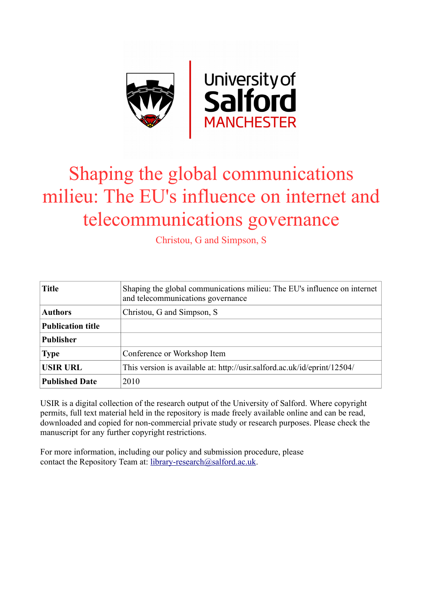

# Shaping the global communications milieu: The EU's influence on internet and telecommunications governance

Christou, G and Simpson, S

| <b>Title</b>             | Shaping the global communications milieu: The EU's influence on internet<br>and telecommunications governance |
|--------------------------|---------------------------------------------------------------------------------------------------------------|
| <b>Authors</b>           | Christou, G and Simpson, S                                                                                    |
| <b>Publication title</b> |                                                                                                               |
| <b>Publisher</b>         |                                                                                                               |
| <b>Type</b>              | Conference or Workshop Item                                                                                   |
| <b>USIR URL</b>          | This version is available at: http://usir.salford.ac.uk/id/eprint/12504/                                      |
| <b>Published Date</b>    | 2010                                                                                                          |

USIR is a digital collection of the research output of the University of Salford. Where copyright permits, full text material held in the repository is made freely available online and can be read, downloaded and copied for non-commercial private study or research purposes. Please check the manuscript for any further copyright restrictions.

For more information, including our policy and submission procedure, please contact the Repository Team at: [library-research@salford.ac.uk.](mailto:library-research@salford.ac.uk)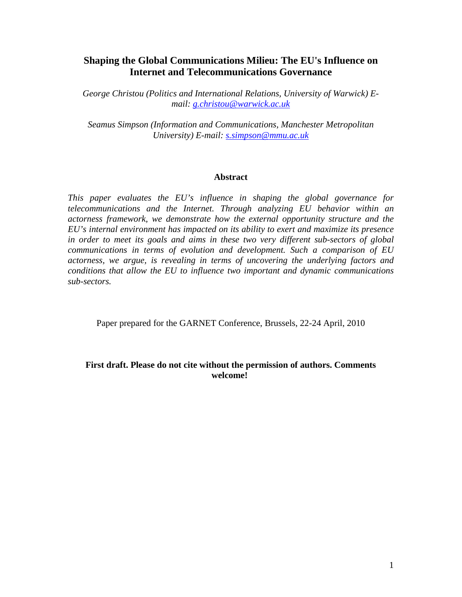# **Shaping the Global Communications Milieu: The EU's Influence on Internet and Telecommunications Governance**

*George Christou (Politics and International Relations, University of Warwick) Email: [g.christou@warwick.ac.uk](mailto:g.christou@warwick.ac.uk)*

*Seamus Simpson (Information and Communications, Manchester Metropolitan University) E-mail: [s.simpson@mmu.ac.uk](mailto:s.simpson@mmu.ac.uk)*

#### **Abstract**

*This paper evaluates the EU's influence in shaping the global governance for telecommunications and the Internet. Through analyzing EU behavior within an actorness framework, we demonstrate how the external opportunity structure and the EU's internal environment has impacted on its ability to exert and maximize its presence in order to meet its goals and aims in these two very different sub-sectors of global communications in terms of evolution and development. Such a comparison of EU actorness, we argue, is revealing in terms of uncovering the underlying factors and conditions that allow the EU to influence two important and dynamic communications sub-sectors.*

Paper prepared for the GARNET Conference, Brussels, 22-24 April, 2010

# **First draft. Please do not cite without the permission of authors. Comments welcome!**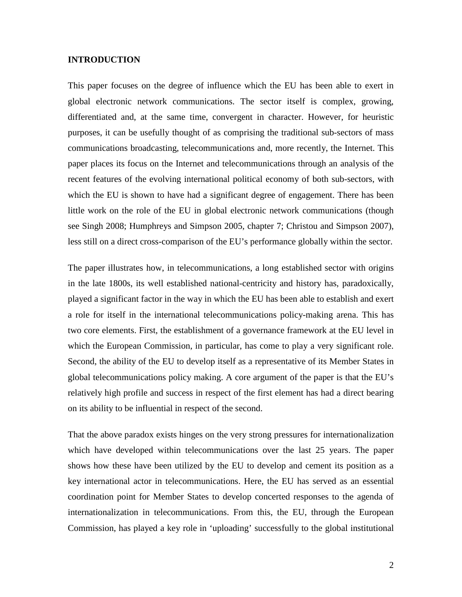# **INTRODUCTION**

This paper focuses on the degree of influence which the EU has been able to exert in global electronic network communications. The sector itself is complex, growing, differentiated and, at the same time, convergent in character. However, for heuristic purposes, it can be usefully thought of as comprising the traditional sub-sectors of mass communications broadcasting, telecommunications and, more recently, the Internet. This paper places its focus on the Internet and telecommunications through an analysis of the recent features of the evolving international political economy of both sub-sectors, with which the EU is shown to have had a significant degree of engagement. There has been little work on the role of the EU in global electronic network communications (though see Singh 2008; Humphreys and Simpson 2005, chapter 7; Christou and Simpson 2007), less still on a direct cross-comparison of the EU's performance globally within the sector.

The paper illustrates how, in telecommunications, a long established sector with origins in the late 1800s, its well established national-centricity and history has, paradoxically, played a significant factor in the way in which the EU has been able to establish and exert a role for itself in the international telecommunications policy-making arena. This has two core elements. First, the establishment of a governance framework at the EU level in which the European Commission, in particular, has come to play a very significant role. Second, the ability of the EU to develop itself as a representative of its Member States in global telecommunications policy making. A core argument of the paper is that the EU's relatively high profile and success in respect of the first element has had a direct bearing on its ability to be influential in respect of the second.

That the above paradox exists hinges on the very strong pressures for internationalization which have developed within telecommunications over the last 25 years. The paper shows how these have been utilized by the EU to develop and cement its position as a key international actor in telecommunications. Here, the EU has served as an essential coordination point for Member States to develop concerted responses to the agenda of internationalization in telecommunications. From this, the EU, through the European Commission, has played a key role in 'uploading' successfully to the global institutional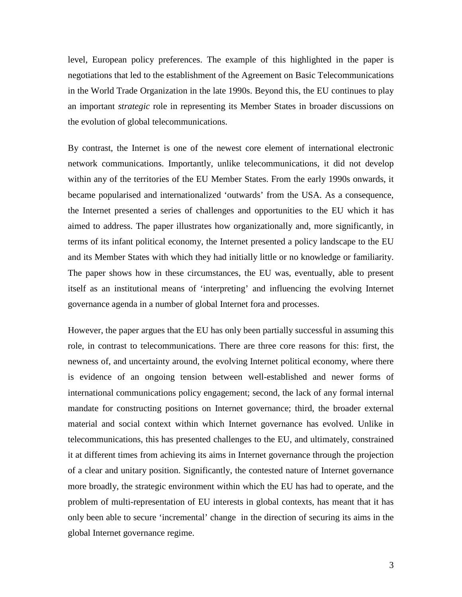level, European policy preferences. The example of this highlighted in the paper is negotiations that led to the establishment of the Agreement on Basic Telecommunications in the World Trade Organization in the late 1990s. Beyond this, the EU continues to play an important *strategic* role in representing its Member States in broader discussions on the evolution of global telecommunications.

By contrast, the Internet is one of the newest core element of international electronic network communications. Importantly, unlike telecommunications, it did not develop within any of the territories of the EU Member States. From the early 1990s onwards, it became popularised and internationalized 'outwards' from the USA. As a consequence, the Internet presented a series of challenges and opportunities to the EU which it has aimed to address. The paper illustrates how organizationally and, more significantly, in terms of its infant political economy, the Internet presented a policy landscape to the EU and its Member States with which they had initially little or no knowledge or familiarity. The paper shows how in these circumstances, the EU was, eventually, able to present itself as an institutional means of 'interpreting' and influencing the evolving Internet governance agenda in a number of global Internet fora and processes.

However, the paper argues that the EU has only been partially successful in assuming this role, in contrast to telecommunications. There are three core reasons for this: first, the newness of, and uncertainty around, the evolving Internet political economy, where there is evidence of an ongoing tension between well-established and newer forms of international communications policy engagement; second, the lack of any formal internal mandate for constructing positions on Internet governance; third, the broader external material and social context within which Internet governance has evolved. Unlike in telecommunications, this has presented challenges to the EU, and ultimately, constrained it at different times from achieving its aims in Internet governance through the projection of a clear and unitary position. Significantly, the contested nature of Internet governance more broadly, the strategic environment within which the EU has had to operate, and the problem of multi-representation of EU interests in global contexts, has meant that it has only been able to secure 'incremental' change in the direction of securing its aims in the global Internet governance regime.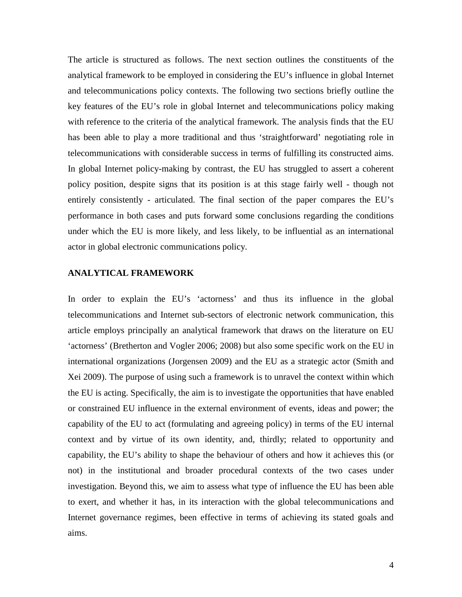The article is structured as follows. The next section outlines the constituents of the analytical framework to be employed in considering the EU's influence in global Internet and telecommunications policy contexts. The following two sections briefly outline the key features of the EU's role in global Internet and telecommunications policy making with reference to the criteria of the analytical framework. The analysis finds that the EU has been able to play a more traditional and thus 'straightforward' negotiating role in telecommunications with considerable success in terms of fulfilling its constructed aims. In global Internet policy-making by contrast, the EU has struggled to assert a coherent policy position, despite signs that its position is at this stage fairly well - though not entirely consistently - articulated. The final section of the paper compares the EU's performance in both cases and puts forward some conclusions regarding the conditions under which the EU is more likely, and less likely, to be influential as an international actor in global electronic communications policy.

# **ANALYTICAL FRAMEWORK**

In order to explain the EU's 'actorness' and thus its influence in the global telecommunications and Internet sub-sectors of electronic network communication, this article employs principally an analytical framework that draws on the literature on EU 'actorness' (Bretherton and Vogler 2006; 2008) but also some specific work on the EU in international organizations (Jorgensen 2009) and the EU as a strategic actor (Smith and Xei 2009). The purpose of using such a framework is to unravel the context within which the EU is acting. Specifically, the aim is to investigate the opportunities that have enabled or constrained EU influence in the external environment of events, ideas and power; the capability of the EU to act (formulating and agreeing policy) in terms of the EU internal context and by virtue of its own identity, and, thirdly; related to opportunity and capability, the EU's ability to shape the behaviour of others and how it achieves this (or not) in the institutional and broader procedural contexts of the two cases under investigation. Beyond this, we aim to assess what type of influence the EU has been able to exert, and whether it has, in its interaction with the global telecommunications and Internet governance regimes, been effective in terms of achieving its stated goals and aims.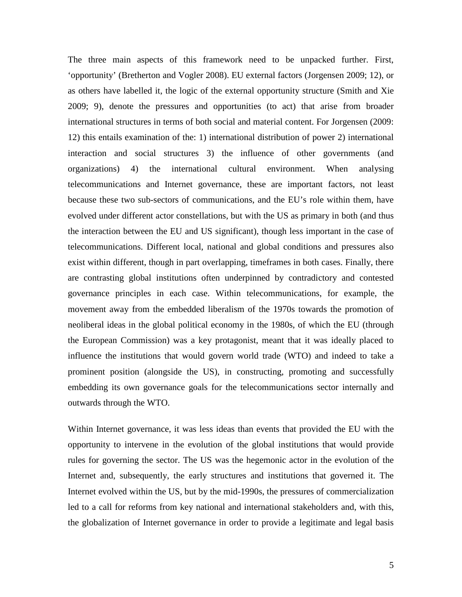The three main aspects of this framework need to be unpacked further. First, 'opportunity' (Bretherton and Vogler 2008). EU external factors (Jorgensen 2009; 12), or as others have labelled it, the logic of the external opportunity structure (Smith and Xie 2009; 9), denote the pressures and opportunities (to act) that arise from broader international structures in terms of both social and material content. For Jorgensen (2009: 12) this entails examination of the: 1) international distribution of power 2) international interaction and social structures 3) the influence of other governments (and organizations) 4) the international cultural environment. When analysing telecommunications and Internet governance, these are important factors, not least because these two sub-sectors of communications, and the EU's role within them, have evolved under different actor constellations, but with the US as primary in both (and thus the interaction between the EU and US significant), though less important in the case of telecommunications. Different local, national and global conditions and pressures also exist within different, though in part overlapping, timeframes in both cases. Finally, there are contrasting global institutions often underpinned by contradictory and contested governance principles in each case. Within telecommunications, for example, the movement away from the embedded liberalism of the 1970s towards the promotion of neoliberal ideas in the global political economy in the 1980s, of which the EU (through the European Commission) was a key protagonist, meant that it was ideally placed to influence the institutions that would govern world trade (WTO) and indeed to take a prominent position (alongside the US), in constructing, promoting and successfully embedding its own governance goals for the telecommunications sector internally and outwards through the WTO.

Within Internet governance, it was less ideas than events that provided the EU with the opportunity to intervene in the evolution of the global institutions that would provide rules for governing the sector. The US was the hegemonic actor in the evolution of the Internet and, subsequently, the early structures and institutions that governed it. The Internet evolved within the US, but by the mid-1990s, the pressures of commercialization led to a call for reforms from key national and international stakeholders and, with this, the globalization of Internet governance in order to provide a legitimate and legal basis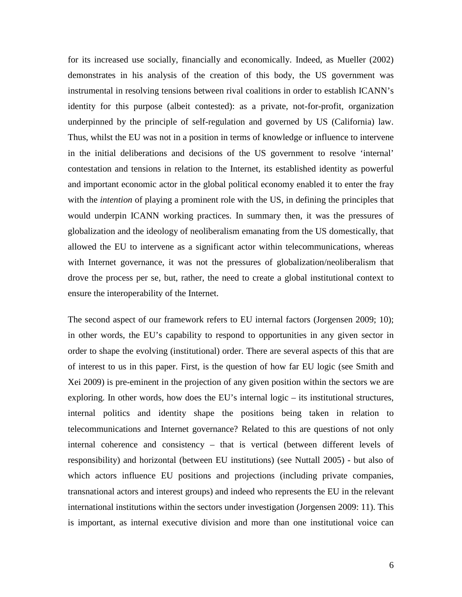for its increased use socially, financially and economically. Indeed, as Mueller (2002) demonstrates in his analysis of the creation of this body, the US government was instrumental in resolving tensions between rival coalitions in order to establish ICANN's identity for this purpose (albeit contested): as a private, not-for-profit, organization underpinned by the principle of self-regulation and governed by US (California) law. Thus, whilst the EU was not in a position in terms of knowledge or influence to intervene in the initial deliberations and decisions of the US government to resolve 'internal' contestation and tensions in relation to the Internet, its established identity as powerful and important economic actor in the global political economy enabled it to enter the fray with the *intention* of playing a prominent role with the US, in defining the principles that would underpin ICANN working practices. In summary then, it was the pressures of globalization and the ideology of neoliberalism emanating from the US domestically, that allowed the EU to intervene as a significant actor within telecommunications, whereas with Internet governance, it was not the pressures of globalization/neoliberalism that drove the process per se, but, rather, the need to create a global institutional context to ensure the interoperability of the Internet.

The second aspect of our framework refers to EU internal factors (Jorgensen 2009; 10); in other words, the EU's capability to respond to opportunities in any given sector in order to shape the evolving (institutional) order. There are several aspects of this that are of interest to us in this paper. First, is the question of how far EU logic (see Smith and Xei 2009) is pre-eminent in the projection of any given position within the sectors we are exploring. In other words, how does the EU's internal logic – its institutional structures, internal politics and identity shape the positions being taken in relation to telecommunications and Internet governance? Related to this are questions of not only internal coherence and consistency – that is vertical (between different levels of responsibility) and horizontal (between EU institutions) (see Nuttall 2005) - but also of which actors influence EU positions and projections (including private companies, transnational actors and interest groups) and indeed who represents the EU in the relevant international institutions within the sectors under investigation (Jorgensen 2009: 11). This is important, as internal executive division and more than one institutional voice can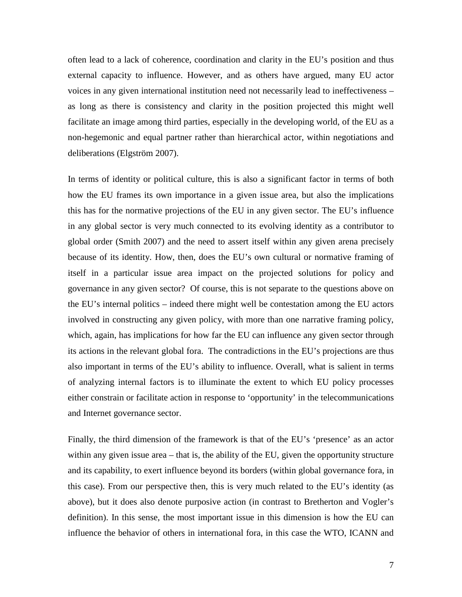often lead to a lack of coherence, coordination and clarity in the EU's position and thus external capacity to influence. However, and as others have argued, many EU actor voices in any given international institution need not necessarily lead to ineffectiveness – as long as there is consistency and clarity in the position projected this might well facilitate an image among third parties, especially in the developing world, of the EU as a non-hegemonic and equal partner rather than hierarchical actor, within negotiations and deliberations (Elgström 2007).

In terms of identity or political culture, this is also a significant factor in terms of both how the EU frames its own importance in a given issue area, but also the implications this has for the normative projections of the EU in any given sector. The EU's influence in any global sector is very much connected to its evolving identity as a contributor to global order (Smith 2007) and the need to assert itself within any given arena precisely because of its identity. How, then, does the EU's own cultural or normative framing of itself in a particular issue area impact on the projected solutions for policy and governance in any given sector? Of course, this is not separate to the questions above on the EU's internal politics – indeed there might well be contestation among the EU actors involved in constructing any given policy, with more than one narrative framing policy, which, again, has implications for how far the EU can influence any given sector through its actions in the relevant global fora. The contradictions in the EU's projections are thus also important in terms of the EU's ability to influence. Overall, what is salient in terms of analyzing internal factors is to illuminate the extent to which EU policy processes either constrain or facilitate action in response to 'opportunity' in the telecommunications and Internet governance sector.

Finally, the third dimension of the framework is that of the EU's 'presence' as an actor within any given issue area – that is, the ability of the EU, given the opportunity structure and its capability, to exert influence beyond its borders (within global governance fora, in this case). From our perspective then, this is very much related to the EU's identity (as above), but it does also denote purposive action (in contrast to Bretherton and Vogler's definition). In this sense, the most important issue in this dimension is how the EU can influence the behavior of others in international fora, in this case the WTO, ICANN and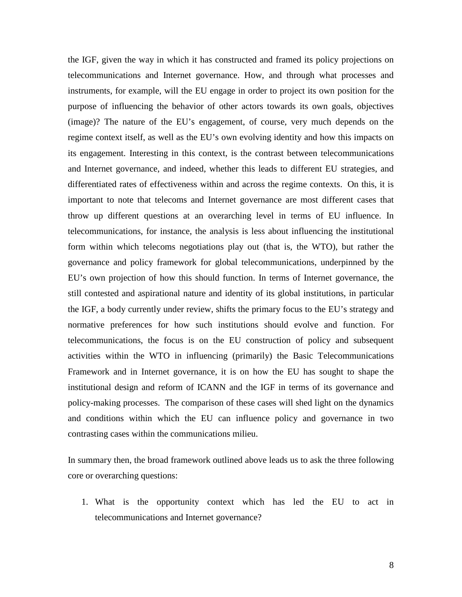the IGF, given the way in which it has constructed and framed its policy projections on telecommunications and Internet governance. How, and through what processes and instruments, for example, will the EU engage in order to project its own position for the purpose of influencing the behavior of other actors towards its own goals, objectives (image)? The nature of the EU's engagement, of course, very much depends on the regime context itself, as well as the EU's own evolving identity and how this impacts on its engagement. Interesting in this context, is the contrast between telecommunications and Internet governance, and indeed, whether this leads to different EU strategies, and differentiated rates of effectiveness within and across the regime contexts. On this, it is important to note that telecoms and Internet governance are most different cases that throw up different questions at an overarching level in terms of EU influence. In telecommunications, for instance, the analysis is less about influencing the institutional form within which telecoms negotiations play out (that is, the WTO), but rather the governance and policy framework for global telecommunications, underpinned by the EU's own projection of how this should function. In terms of Internet governance, the still contested and aspirational nature and identity of its global institutions, in particular the IGF, a body currently under review, shifts the primary focus to the EU's strategy and normative preferences for how such institutions should evolve and function. For telecommunications, the focus is on the EU construction of policy and subsequent activities within the WTO in influencing (primarily) the Basic Telecommunications Framework and in Internet governance, it is on how the EU has sought to shape the institutional design and reform of ICANN and the IGF in terms of its governance and policy-making processes. The comparison of these cases will shed light on the dynamics and conditions within which the EU can influence policy and governance in two contrasting cases within the communications milieu.

In summary then, the broad framework outlined above leads us to ask the three following core or overarching questions:

1. What is the opportunity context which has led the EU to act in telecommunications and Internet governance?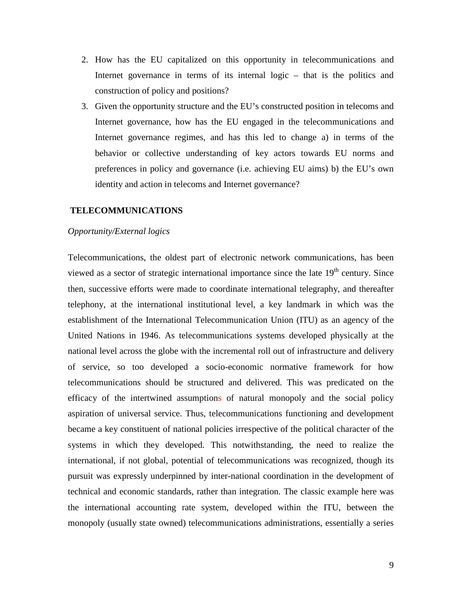- 2. How has the EU capitalized on this opportunity in telecommunications and Internet governance in terms of its internal logic – that is the politics and construction of policy and positions?
- 3. Given the opportunity structure and the EU's constructed position in telecoms and Internet governance, how has the EU engaged in the telecommunications and Internet governance regimes, and has this led to change a) in terms of the behavior or collective understanding of key actors towards EU norms and preferences in policy and governance (i.e. achieving EU aims) b) the EU's own identity and action in telecoms and Internet governance?

#### **TELECOMMUNICATIONS**

## *Opportunity/External logics*

Telecommunications, the oldest part of electronic network communications, has been viewed as a sector of strategic international importance since the late  $19<sup>th</sup>$  century. Since then, successive efforts were made to coordinate international telegraphy, and thereafter telephony, at the international institutional level, a key landmark in which was the establishment of the International Telecommunication Union (ITU) as an agency of the United Nations in 1946. As telecommunications systems developed physically at the national level across the globe with the incremental roll out of infrastructure and delivery of service, so too developed a socio-economic normative framework for how telecommunications should be structured and delivered. This was predicated on the efficacy of the intertwined assumptions of natural monopoly and the social policy aspiration of universal service. Thus, telecommunications functioning and development became a key constituent of national policies irrespective of the political character of the systems in which they developed. This notwithstanding, the need to realize the international, if not global, potential of telecommunications was recognized, though its pursuit was expressly underpinned by inter-national coordination in the development of technical and economic standards, rather than integration. The classic example here was the international accounting rate system, developed within the ITU, between the monopoly (usually state owned) telecommunications administrations, essentially a series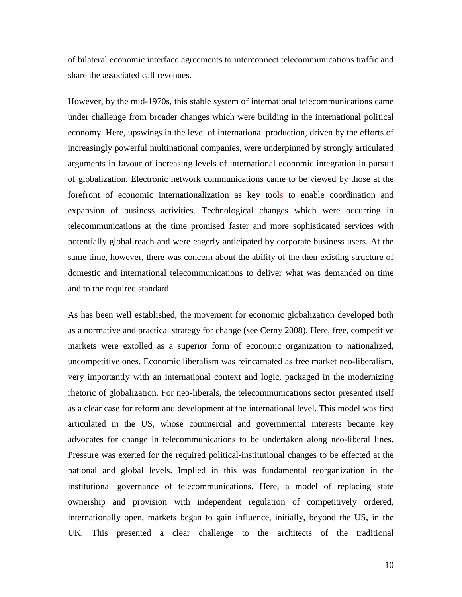of bilateral economic interface agreements to interconnect telecommunications traffic and share the associated call revenues.

However, by the mid-1970s, this stable system of international telecommunications came under challenge from broader changes which were building in the international political economy. Here, upswings in the level of international production, driven by the efforts of increasingly powerful multinational companies, were underpinned by strongly articulated arguments in favour of increasing levels of international economic integration in pursuit of globalization. Electronic network communications came to be viewed by those at the forefront of economic internationalization as key tools to enable coordination and expansion of business activities. Technological changes which were occurring in telecommunications at the time promised faster and more sophisticated services with potentially global reach and were eagerly anticipated by corporate business users. At the same time, however, there was concern about the ability of the then existing structure of domestic and international telecommunications to deliver what was demanded on time and to the required standard.

As has been well established, the movement for economic globalization developed both as a normative and practical strategy for change (see Cerny 2008). Here, free, competitive markets were extolled as a superior form of economic organization to nationalized, uncompetitive ones. Economic liberalism was reincarnated as free market neo-liberalism, very importantly with an international context and logic, packaged in the modernizing rhetoric of globalization. For neo-liberals, the telecommunications sector presented itself as a clear case for reform and development at the international level. This model was first articulated in the US, whose commercial and governmental interests became key advocates for change in telecommunications to be undertaken along neo-liberal lines. Pressure was exerted for the required political-institutional changes to be effected at the national and global levels. Implied in this was fundamental reorganization in the institutional governance of telecommunications. Here, a model of replacing state ownership and provision with independent regulation of competitively ordered, internationally open, markets began to gain influence, initially, beyond the US, in the UK. This presented a clear challenge to the architects of the traditional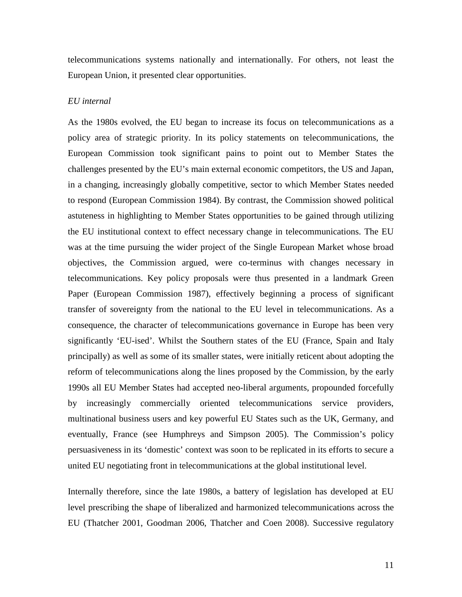telecommunications systems nationally and internationally. For others, not least the European Union, it presented clear opportunities.

## *EU internal*

As the 1980s evolved, the EU began to increase its focus on telecommunications as a policy area of strategic priority. In its policy statements on telecommunications, the European Commission took significant pains to point out to Member States the challenges presented by the EU's main external economic competitors, the US and Japan, in a changing, increasingly globally competitive, sector to which Member States needed to respond (European Commission 1984). By contrast, the Commission showed political astuteness in highlighting to Member States opportunities to be gained through utilizing the EU institutional context to effect necessary change in telecommunications. The EU was at the time pursuing the wider project of the Single European Market whose broad objectives, the Commission argued, were co-terminus with changes necessary in telecommunications. Key policy proposals were thus presented in a landmark Green Paper (European Commission 1987), effectively beginning a process of significant transfer of sovereignty from the national to the EU level in telecommunications. As a consequence, the character of telecommunications governance in Europe has been very significantly 'EU-ised'. Whilst the Southern states of the EU (France, Spain and Italy principally) as well as some of its smaller states, were initially reticent about adopting the reform of telecommunications along the lines proposed by the Commission, by the early 1990s all EU Member States had accepted neo-liberal arguments, propounded forcefully by increasingly commercially oriented telecommunications service providers, multinational business users and key powerful EU States such as the UK, Germany, and eventually, France (see Humphreys and Simpson 2005). The Commission's policy persuasiveness in its 'domestic' context was soon to be replicated in its efforts to secure a united EU negotiating front in telecommunications at the global institutional level.

Internally therefore, since the late 1980s, a battery of legislation has developed at EU level prescribing the shape of liberalized and harmonized telecommunications across the EU (Thatcher 2001, Goodman 2006, Thatcher and Coen 2008). Successive regulatory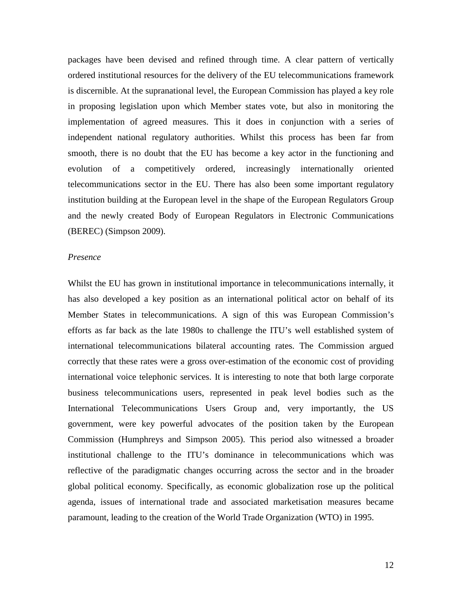packages have been devised and refined through time. A clear pattern of vertically ordered institutional resources for the delivery of the EU telecommunications framework is discernible. At the supranational level, the European Commission has played a key role in proposing legislation upon which Member states vote, but also in monitoring the implementation of agreed measures. This it does in conjunction with a series of independent national regulatory authorities. Whilst this process has been far from smooth, there is no doubt that the EU has become a key actor in the functioning and evolution of a competitively ordered, increasingly internationally oriented telecommunications sector in the EU. There has also been some important regulatory institution building at the European level in the shape of the European Regulators Group and the newly created Body of European Regulators in Electronic Communications (BEREC) (Simpson 2009).

#### *Presence*

Whilst the EU has grown in institutional importance in telecommunications internally, it has also developed a key position as an international political actor on behalf of its Member States in telecommunications. A sign of this was European Commission's efforts as far back as the late 1980s to challenge the ITU's well established system of international telecommunications bilateral accounting rates. The Commission argued correctly that these rates were a gross over-estimation of the economic cost of providing international voice telephonic services. It is interesting to note that both large corporate business telecommunications users, represented in peak level bodies such as the International Telecommunications Users Group and, very importantly, the US government, were key powerful advocates of the position taken by the European Commission (Humphreys and Simpson 2005). This period also witnessed a broader institutional challenge to the ITU's dominance in telecommunications which was reflective of the paradigmatic changes occurring across the sector and in the broader global political economy. Specifically, as economic globalization rose up the political agenda, issues of international trade and associated marketisation measures became paramount, leading to the creation of the World Trade Organization (WTO) in 1995.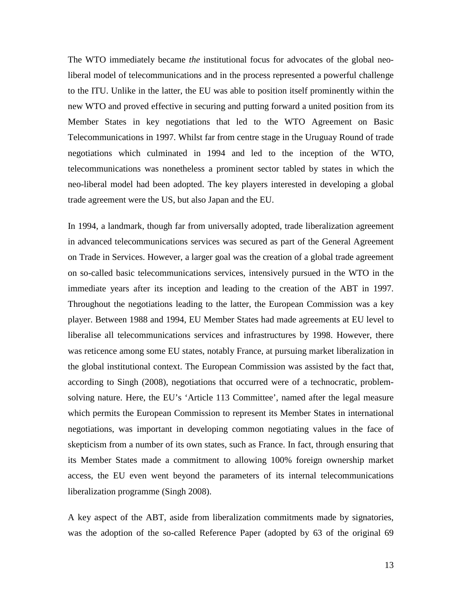The WTO immediately became *the* institutional focus for advocates of the global neoliberal model of telecommunications and in the process represented a powerful challenge to the ITU. Unlike in the latter, the EU was able to position itself prominently within the new WTO and proved effective in securing and putting forward a united position from its Member States in key negotiations that led to the WTO Agreement on Basic Telecommunications in 1997. Whilst far from centre stage in the Uruguay Round of trade negotiations which culminated in 1994 and led to the inception of the WTO, telecommunications was nonetheless a prominent sector tabled by states in which the neo-liberal model had been adopted. The key players interested in developing a global trade agreement were the US, but also Japan and the EU.

In 1994, a landmark, though far from universally adopted, trade liberalization agreement in advanced telecommunications services was secured as part of the General Agreement on Trade in Services. However, a larger goal was the creation of a global trade agreement on so-called basic telecommunications services, intensively pursued in the WTO in the immediate years after its inception and leading to the creation of the ABT in 1997. Throughout the negotiations leading to the latter, the European Commission was a key player. Between 1988 and 1994, EU Member States had made agreements at EU level to liberalise all telecommunications services and infrastructures by 1998. However, there was reticence among some EU states, notably France, at pursuing market liberalization in the global institutional context. The European Commission was assisted by the fact that, according to Singh (2008), negotiations that occurred were of a technocratic, problemsolving nature. Here, the EU's 'Article 113 Committee', named after the legal measure which permits the European Commission to represent its Member States in international negotiations, was important in developing common negotiating values in the face of skepticism from a number of its own states, such as France. In fact, through ensuring that its Member States made a commitment to allowing 100% foreign ownership market access, the EU even went beyond the parameters of its internal telecommunications liberalization programme (Singh 2008).

A key aspect of the ABT, aside from liberalization commitments made by signatories, was the adoption of the so-called Reference Paper (adopted by 63 of the original 69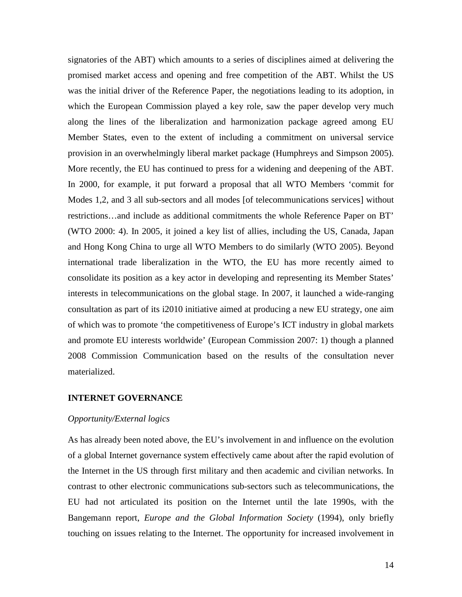signatories of the ABT) which amounts to a series of disciplines aimed at delivering the promised market access and opening and free competition of the ABT. Whilst the US was the initial driver of the Reference Paper, the negotiations leading to its adoption, in which the European Commission played a key role, saw the paper develop very much along the lines of the liberalization and harmonization package agreed among EU Member States, even to the extent of including a commitment on universal service provision in an overwhelmingly liberal market package (Humphreys and Simpson 2005). More recently, the EU has continued to press for a widening and deepening of the ABT. In 2000, for example, it put forward a proposal that all WTO Members 'commit for Modes 1,2, and 3 all sub-sectors and all modes [of telecommunications services] without restrictions…and include as additional commitments the whole Reference Paper on BT' (WTO 2000: 4). In 2005, it joined a key list of allies, including the US, Canada, Japan and Hong Kong China to urge all WTO Members to do similarly (WTO 2005). Beyond international trade liberalization in the WTO, the EU has more recently aimed to consolidate its position as a key actor in developing and representing its Member States' interests in telecommunications on the global stage. In 2007, it launched a wide-ranging consultation as part of its i2010 initiative aimed at producing a new EU strategy, one aim of which was to promote 'the competitiveness of Europe's ICT industry in global markets and promote EU interests worldwide' (European Commission 2007: 1) though a planned 2008 Commission Communication based on the results of the consultation never materialized.

## **INTERNET GOVERNANCE**

## *Opportunity/External logics*

As has already been noted above, the EU's involvement in and influence on the evolution of a global Internet governance system effectively came about after the rapid evolution of the Internet in the US through first military and then academic and civilian networks. In contrast to other electronic communications sub-sectors such as telecommunications, the EU had not articulated its position on the Internet until the late 1990s, with the Bangemann report, *Europe and the Global Information Society* (1994), only briefly touching on issues relating to the Internet. The opportunity for increased involvement in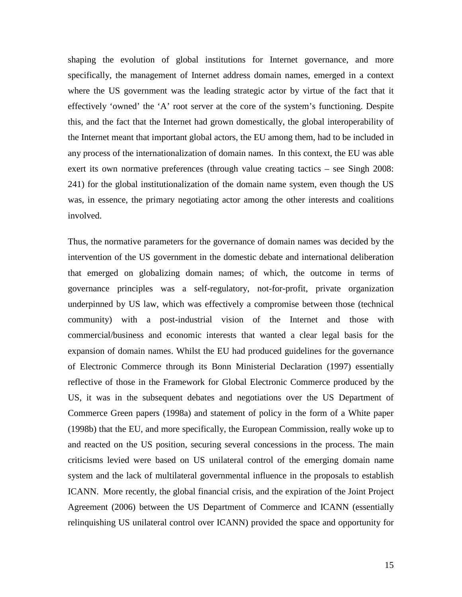shaping the evolution of global institutions for Internet governance, and more specifically, the management of Internet address domain names, emerged in a context where the US government was the leading strategic actor by virtue of the fact that it effectively 'owned' the 'A' root server at the core of the system's functioning. Despite this, and the fact that the Internet had grown domestically, the global interoperability of the Internet meant that important global actors, the EU among them, had to be included in any process of the internationalization of domain names. In this context, the EU was able exert its own normative preferences (through value creating tactics – see Singh 2008: 241) for the global institutionalization of the domain name system, even though the US was, in essence, the primary negotiating actor among the other interests and coalitions involved.

Thus, the normative parameters for the governance of domain names was decided by the intervention of the US government in the domestic debate and international deliberation that emerged on globalizing domain names; of which, the outcome in terms of governance principles was a self-regulatory, not-for-profit, private organization underpinned by US law, which was effectively a compromise between those (technical community) with a post-industrial vision of the Internet and those with commercial/business and economic interests that wanted a clear legal basis for the expansion of domain names. Whilst the EU had produced guidelines for the governance of Electronic Commerce through its Bonn Ministerial Declaration (1997) essentially reflective of those in the Framework for Global Electronic Commerce produced by the US, it was in the subsequent debates and negotiations over the US Department of Commerce Green papers (1998a) and statement of policy in the form of a White paper (1998b) that the EU, and more specifically, the European Commission, really woke up to and reacted on the US position, securing several concessions in the process. The main criticisms levied were based on US unilateral control of the emerging domain name system and the lack of multilateral governmental influence in the proposals to establish ICANN. More recently, the global financial crisis, and the expiration of the Joint Project Agreement (2006) between the US Department of Commerce and ICANN (essentially relinquishing US unilateral control over ICANN) provided the space and opportunity for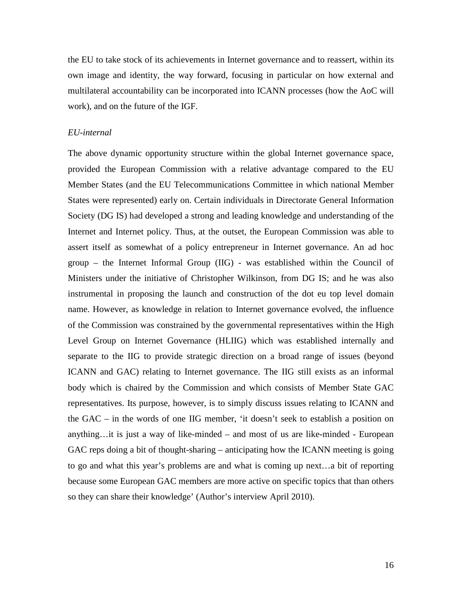the EU to take stock of its achievements in Internet governance and to reassert, within its own image and identity, the way forward, focusing in particular on how external and multilateral accountability can be incorporated into ICANN processes (how the AoC will work), and on the future of the IGF.

#### *EU-internal*

The above dynamic opportunity structure within the global Internet governance space, provided the European Commission with a relative advantage compared to the EU Member States (and the EU Telecommunications Committee in which national Member States were represented) early on. Certain individuals in Directorate General Information Society (DG IS) had developed a strong and leading knowledge and understanding of the Internet and Internet policy. Thus, at the outset, the European Commission was able to assert itself as somewhat of a policy entrepreneur in Internet governance. An ad hoc group – the Internet Informal Group (IIG) - was established within the Council of Ministers under the initiative of Christopher Wilkinson, from DG IS; and he was also instrumental in proposing the launch and construction of the dot eu top level domain name. However, as knowledge in relation to Internet governance evolved, the influence of the Commission was constrained by the governmental representatives within the High Level Group on Internet Governance (HLIIG) which was established internally and separate to the IIG to provide strategic direction on a broad range of issues (beyond ICANN and GAC) relating to Internet governance. The IIG still exists as an informal body which is chaired by the Commission and which consists of Member State GAC representatives. Its purpose, however, is to simply discuss issues relating to ICANN and the GAC – in the words of one IIG member, 'it doesn't seek to establish a position on anything…it is just a way of like-minded – and most of us are like-minded - European GAC reps doing a bit of thought-sharing – anticipating how the ICANN meeting is going to go and what this year's problems are and what is coming up next…a bit of reporting because some European GAC members are more active on specific topics that than others so they can share their knowledge' (Author's interview April 2010).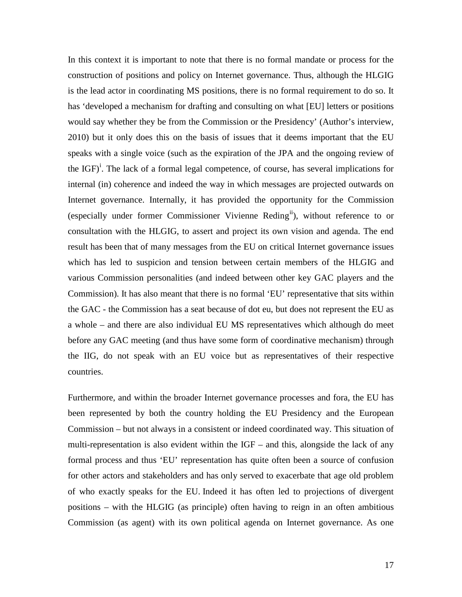In this context it is important to note that there is no formal mandate or process for the construction of positions and policy on Internet governance. Thus, although the HLGIG is the lead actor in coordinating MS positions, there is no formal requirement to do so. It has 'developed a mechanism for drafting and consulting on what [EU] letters or positions would say whether they be from the Commission or the Presidency' (Author's interview, 2010) but it only does this on the basis of issues that it deems important that the EU speaks with a single voice (such as the expiration of the JPA and the ongoing review of the IGF)<sup>[i](#page-28-0)</sup>. The lack of a formal legal competence, of course, has several implications for internal (in) coherence and indeed the way in which messages are projected outwards on Internet governance. Internally, it has provided the opportunity for the Commission (especially under former Commissioner Vivienne Reding<sup>[ii](#page-28-1)</sup>), without reference to or consultation with the HLGIG, to assert and project its own vision and agenda. The end result has been that of many messages from the EU on critical Internet governance issues which has led to suspicion and tension between certain members of the HLGIG and various Commission personalities (and indeed between other key GAC players and the Commission). It has also meant that there is no formal 'EU' representative that sits within the GAC - the Commission has a seat because of dot eu, but does not represent the EU as a whole – and there are also individual EU MS representatives which although do meet before any GAC meeting (and thus have some form of coordinative mechanism) through the IIG, do not speak with an EU voice but as representatives of their respective countries.

Furthermore, and within the broader Internet governance processes and fora, the EU has been represented by both the country holding the EU Presidency and the European Commission – but not always in a consistent or indeed coordinated way. This situation of multi-representation is also evident within the  $IGF -$  and this, alongside the lack of any formal process and thus 'EU' representation has quite often been a source of confusion for other actors and stakeholders and has only served to exacerbate that age old problem of who exactly speaks for the EU. Indeed it has often led to projections of divergent positions – with the HLGIG (as principle) often having to reign in an often ambitious Commission (as agent) with its own political agenda on Internet governance. As one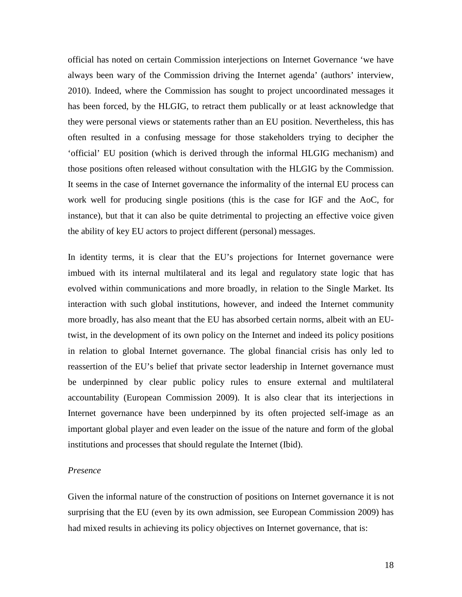official has noted on certain Commission interjections on Internet Governance 'we have always been wary of the Commission driving the Internet agenda' (authors' interview, 2010). Indeed, where the Commission has sought to project uncoordinated messages it has been forced, by the HLGIG, to retract them publically or at least acknowledge that they were personal views or statements rather than an EU position. Nevertheless, this has often resulted in a confusing message for those stakeholders trying to decipher the 'official' EU position (which is derived through the informal HLGIG mechanism) and those positions often released without consultation with the HLGIG by the Commission. It seems in the case of Internet governance the informality of the internal EU process can work well for producing single positions (this is the case for IGF and the AoC, for instance), but that it can also be quite detrimental to projecting an effective voice given the ability of key EU actors to project different (personal) messages.

In identity terms, it is clear that the EU's projections for Internet governance were imbued with its internal multilateral and its legal and regulatory state logic that has evolved within communications and more broadly, in relation to the Single Market. Its interaction with such global institutions, however, and indeed the Internet community more broadly, has also meant that the EU has absorbed certain norms, albeit with an EUtwist, in the development of its own policy on the Internet and indeed its policy positions in relation to global Internet governance. The global financial crisis has only led to reassertion of the EU's belief that private sector leadership in Internet governance must be underpinned by clear public policy rules to ensure external and multilateral accountability (European Commission 2009). It is also clear that its interjections in Internet governance have been underpinned by its often projected self-image as an important global player and even leader on the issue of the nature and form of the global institutions and processes that should regulate the Internet (Ibid).

#### *Presence*

Given the informal nature of the construction of positions on Internet governance it is not surprising that the EU (even by its own admission, see European Commission 2009) has had mixed results in achieving its policy objectives on Internet governance, that is: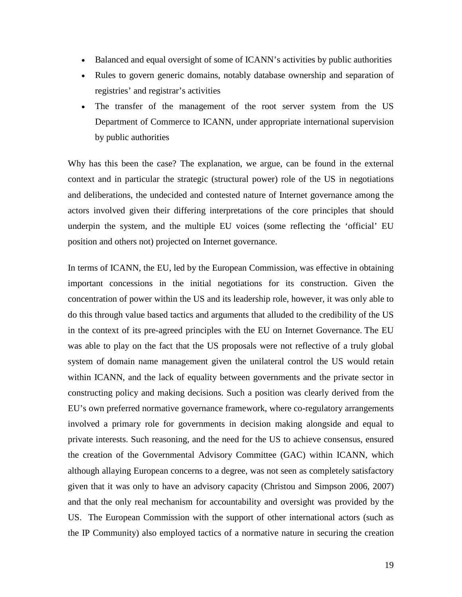- Balanced and equal oversight of some of ICANN's activities by public authorities
- Rules to govern generic domains, notably database ownership and separation of registries' and registrar's activities
- The transfer of the management of the root server system from the US Department of Commerce to ICANN, under appropriate international supervision by public authorities

Why has this been the case? The explanation, we argue, can be found in the external context and in particular the strategic (structural power) role of the US in negotiations and deliberations, the undecided and contested nature of Internet governance among the actors involved given their differing interpretations of the core principles that should underpin the system, and the multiple EU voices (some reflecting the 'official' EU position and others not) projected on Internet governance.

In terms of ICANN, the EU, led by the European Commission, was effective in obtaining important concessions in the initial negotiations for its construction. Given the concentration of power within the US and its leadership role, however, it was only able to do this through value based tactics and arguments that alluded to the credibility of the US in the context of its pre-agreed principles with the EU on Internet Governance. The EU was able to play on the fact that the US proposals were not reflective of a truly global system of domain name management given the unilateral control the US would retain within ICANN, and the lack of equality between governments and the private sector in constructing policy and making decisions. Such a position was clearly derived from the EU's own preferred normative governance framework, where co-regulatory arrangements involved a primary role for governments in decision making alongside and equal to private interests. Such reasoning, and the need for the US to achieve consensus, ensured the creation of the Governmental Advisory Committee (GAC) within ICANN, which although allaying European concerns to a degree, was not seen as completely satisfactory given that it was only to have an advisory capacity (Christou and Simpson 2006, 2007) and that the only real mechanism for accountability and oversight was provided by the US. The European Commission with the support of other international actors (such as the IP Community) also employed tactics of a normative nature in securing the creation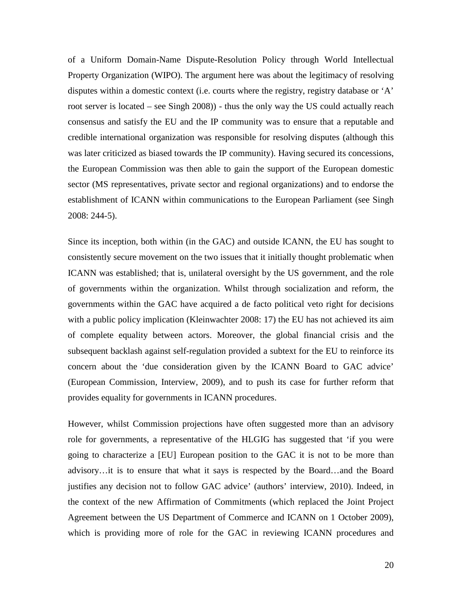of a Uniform Domain-Name Dispute-Resolution Policy through World Intellectual Property Organization (WIPO). The argument here was about the legitimacy of resolving disputes within a domestic context (i.e. courts where the registry, registry database or 'A' root server is located – see Singh 2008)) - thus the only way the US could actually reach consensus and satisfy the EU and the IP community was to ensure that a reputable and credible international organization was responsible for resolving disputes (although this was later criticized as biased towards the IP community). Having secured its concessions, the European Commission was then able to gain the support of the European domestic sector (MS representatives, private sector and regional organizations) and to endorse the establishment of ICANN within communications to the European Parliament (see Singh 2008: 244-5).

Since its inception, both within (in the GAC) and outside ICANN, the EU has sought to consistently secure movement on the two issues that it initially thought problematic when ICANN was established; that is, unilateral oversight by the US government, and the role of governments within the organization. Whilst through socialization and reform, the governments within the GAC have acquired a de facto political veto right for decisions with a public policy implication (Kleinwachter 2008: 17) the EU has not achieved its aim of complete equality between actors. Moreover, the global financial crisis and the subsequent backlash against self-regulation provided a subtext for the EU to reinforce its concern about the 'due consideration given by the ICANN Board to GAC advice' (European Commission, Interview, 2009), and to push its case for further reform that provides equality for governments in ICANN procedures.

However, whilst Commission projections have often suggested more than an advisory role for governments, a representative of the HLGIG has suggested that 'if you were going to characterize a [EU] European position to the GAC it is not to be more than advisory…it is to ensure that what it says is respected by the Board…and the Board justifies any decision not to follow GAC advice' (authors' interview, 2010). Indeed, in the context of the new Affirmation of Commitments (which replaced the Joint Project Agreement between the US Department of Commerce and ICANN on 1 October 2009), which is providing more of role for the GAC in reviewing ICANN procedures and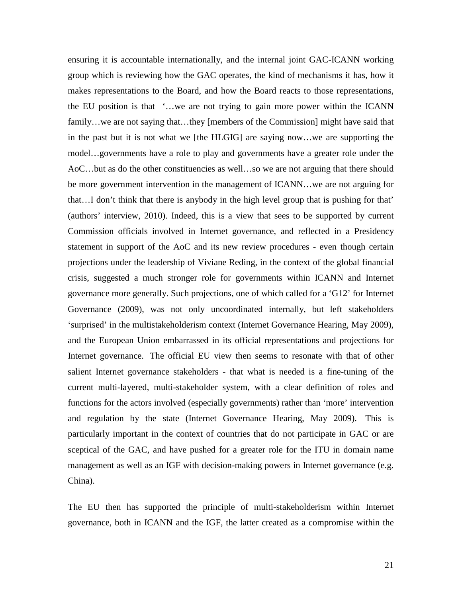ensuring it is accountable internationally, and the internal joint GAC-ICANN working group which is reviewing how the GAC operates, the kind of mechanisms it has, how it makes representations to the Board, and how the Board reacts to those representations, the EU position is that '…we are not trying to gain more power within the ICANN family…we are not saying that…they [members of the Commission] might have said that in the past but it is not what we [the HLGIG] are saying now…we are supporting the model…governments have a role to play and governments have a greater role under the AoC…but as do the other constituencies as well…so we are not arguing that there should be more government intervention in the management of ICANN…we are not arguing for that…I don't think that there is anybody in the high level group that is pushing for that' (authors' interview, 2010). Indeed, this is a view that sees to be supported by current Commission officials involved in Internet governance, and reflected in a Presidency statement in support of the AoC and its new review procedures - even though certain projections under the leadership of Viviane Reding, in the context of the global financial crisis, suggested a much stronger role for governments within ICANN and Internet governance more generally. Such projections, one of which called for a 'G12' for Internet Governance (2009), was not only uncoordinated internally, but left stakeholders 'surprised' in the multistakeholderism context (Internet Governance Hearing, May 2009), and the European Union embarrassed in its official representations and projections for Internet governance. The official EU view then seems to resonate with that of other salient Internet governance stakeholders - that what is needed is a fine-tuning of the current multi-layered, multi-stakeholder system, with a clear definition of roles and functions for the actors involved (especially governments) rather than 'more' intervention and regulation by the state (Internet Governance Hearing, May 2009). This is particularly important in the context of countries that do not participate in GAC or are sceptical of the GAC, and have pushed for a greater role for the ITU in domain name management as well as an IGF with decision-making powers in Internet governance (e.g. China).

The EU then has supported the principle of multi-stakeholderism within Internet governance, both in ICANN and the IGF, the latter created as a compromise within the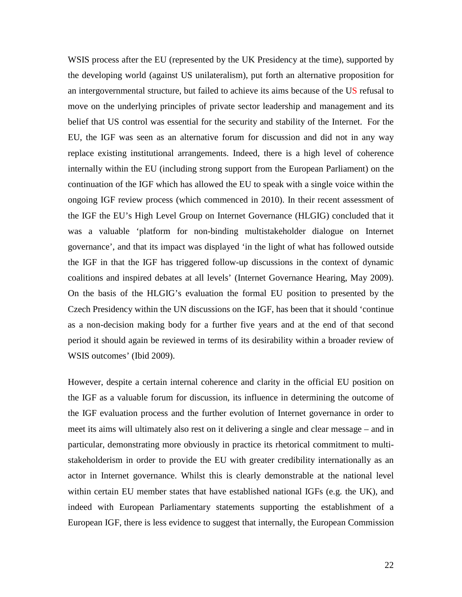WSIS process after the EU (represented by the UK Presidency at the time), supported by the developing world (against US unilateralism), put forth an alternative proposition for an intergovernmental structure, but failed to achieve its aims because of the US refusal to move on the underlying principles of private sector leadership and management and its belief that US control was essential for the security and stability of the Internet. For the EU, the IGF was seen as an alternative forum for discussion and did not in any way replace existing institutional arrangements. Indeed, there is a high level of coherence internally within the EU (including strong support from the European Parliament) on the continuation of the IGF which has allowed the EU to speak with a single voice within the ongoing IGF review process (which commenced in 2010). In their recent assessment of the IGF the EU's High Level Group on Internet Governance (HLGIG) concluded that it was a valuable 'platform for non-binding multistakeholder dialogue on Internet governance', and that its impact was displayed 'in the light of what has followed outside the IGF in that the IGF has triggered follow-up discussions in the context of dynamic coalitions and inspired debates at all levels' (Internet Governance Hearing, May 2009). On the basis of the HLGIG's evaluation the formal EU position to presented by the Czech Presidency within the UN discussions on the IGF, has been that it should 'continue as a non-decision making body for a further five years and at the end of that second period it should again be reviewed in terms of its desirability within a broader review of WSIS outcomes' (Ibid 2009).

However, despite a certain internal coherence and clarity in the official EU position on the IGF as a valuable forum for discussion, its influence in determining the outcome of the IGF evaluation process and the further evolution of Internet governance in order to meet its aims will ultimately also rest on it delivering a single and clear message – and in particular, demonstrating more obviously in practice its rhetorical commitment to multistakeholderism in order to provide the EU with greater credibility internationally as an actor in Internet governance. Whilst this is clearly demonstrable at the national level within certain EU member states that have established national IGFs (e.g. the UK), and indeed with European Parliamentary statements supporting the establishment of a European IGF, there is less evidence to suggest that internally, the European Commission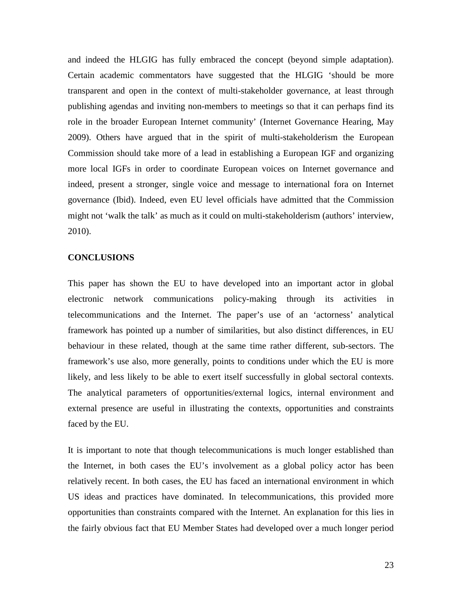and indeed the HLGIG has fully embraced the concept (beyond simple adaptation). Certain academic commentators have suggested that the HLGIG 'should be more transparent and open in the context of multi-stakeholder governance, at least through publishing agendas and inviting non-members to meetings so that it can perhaps find its role in the broader European Internet community' (Internet Governance Hearing, May 2009). Others have argued that in the spirit of multi-stakeholderism the European Commission should take more of a lead in establishing a European IGF and organizing more local IGFs in order to coordinate European voices on Internet governance and indeed, present a stronger, single voice and message to international fora on Internet governance (Ibid). Indeed, even EU level officials have admitted that the Commission might not 'walk the talk' as much as it could on multi-stakeholderism (authors' interview, 2010).

#### **CONCLUSIONS**

This paper has shown the EU to have developed into an important actor in global electronic network communications policy-making through its activities in telecommunications and the Internet. The paper's use of an 'actorness' analytical framework has pointed up a number of similarities, but also distinct differences, in EU behaviour in these related, though at the same time rather different, sub-sectors. The framework's use also, more generally, points to conditions under which the EU is more likely, and less likely to be able to exert itself successfully in global sectoral contexts. The analytical parameters of opportunities/external logics, internal environment and external presence are useful in illustrating the contexts, opportunities and constraints faced by the EU.

It is important to note that though telecommunications is much longer established than the Internet, in both cases the EU's involvement as a global policy actor has been relatively recent. In both cases, the EU has faced an international environment in which US ideas and practices have dominated. In telecommunications, this provided more opportunities than constraints compared with the Internet. An explanation for this lies in the fairly obvious fact that EU Member States had developed over a much longer period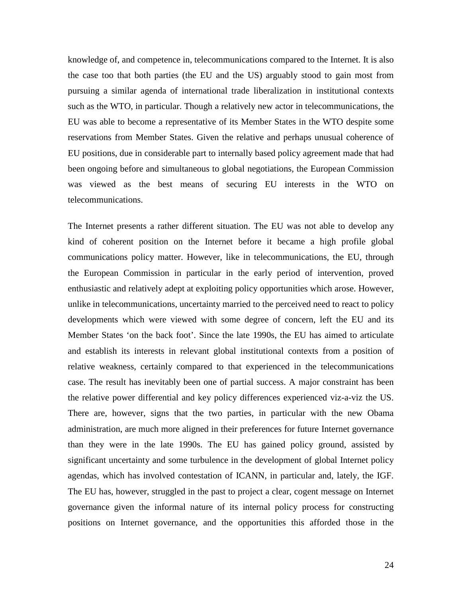knowledge of, and competence in, telecommunications compared to the Internet. It is also the case too that both parties (the EU and the US) arguably stood to gain most from pursuing a similar agenda of international trade liberalization in institutional contexts such as the WTO, in particular. Though a relatively new actor in telecommunications, the EU was able to become a representative of its Member States in the WTO despite some reservations from Member States. Given the relative and perhaps unusual coherence of EU positions, due in considerable part to internally based policy agreement made that had been ongoing before and simultaneous to global negotiations, the European Commission was viewed as the best means of securing EU interests in the WTO on telecommunications.

The Internet presents a rather different situation. The EU was not able to develop any kind of coherent position on the Internet before it became a high profile global communications policy matter. However, like in telecommunications, the EU, through the European Commission in particular in the early period of intervention, proved enthusiastic and relatively adept at exploiting policy opportunities which arose. However, unlike in telecommunications, uncertainty married to the perceived need to react to policy developments which were viewed with some degree of concern, left the EU and its Member States 'on the back foot'. Since the late 1990s, the EU has aimed to articulate and establish its interests in relevant global institutional contexts from a position of relative weakness, certainly compared to that experienced in the telecommunications case. The result has inevitably been one of partial success. A major constraint has been the relative power differential and key policy differences experienced viz-a-viz the US. There are, however, signs that the two parties, in particular with the new Obama administration, are much more aligned in their preferences for future Internet governance than they were in the late 1990s. The EU has gained policy ground, assisted by significant uncertainty and some turbulence in the development of global Internet policy agendas, which has involved contestation of ICANN, in particular and, lately, the IGF. The EU has, however, struggled in the past to project a clear, cogent message on Internet governance given the informal nature of its internal policy process for constructing positions on Internet governance, and the opportunities this afforded those in the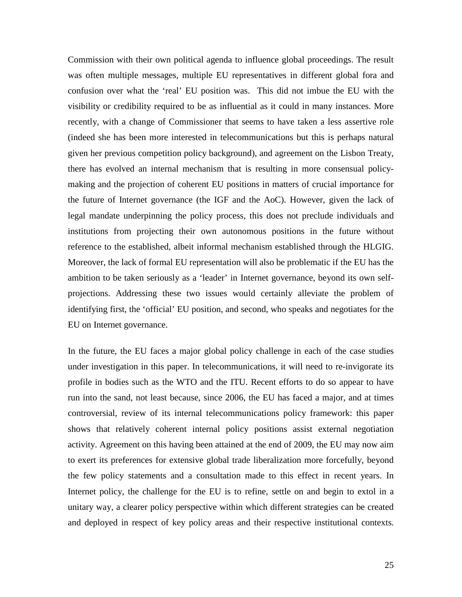Commission with their own political agenda to influence global proceedings. The result was often multiple messages, multiple EU representatives in different global fora and confusion over what the 'real' EU position was. This did not imbue the EU with the visibility or credibility required to be as influential as it could in many instances. More recently, with a change of Commissioner that seems to have taken a less assertive role (indeed she has been more interested in telecommunications but this is perhaps natural given her previous competition policy background), and agreement on the Lisbon Treaty, there has evolved an internal mechanism that is resulting in more consensual policymaking and the projection of coherent EU positions in matters of crucial importance for the future of Internet governance (the IGF and the AoC). However, given the lack of legal mandate underpinning the policy process, this does not preclude individuals and institutions from projecting their own autonomous positions in the future without reference to the established, albeit informal mechanism established through the HLGIG. Moreover, the lack of formal EU representation will also be problematic if the EU has the ambition to be taken seriously as a 'leader' in Internet governance, beyond its own selfprojections. Addressing these two issues would certainly alleviate the problem of identifying first, the 'official' EU position, and second, who speaks and negotiates for the EU on Internet governance.

In the future, the EU faces a major global policy challenge in each of the case studies under investigation in this paper. In telecommunications, it will need to re-invigorate its profile in bodies such as the WTO and the ITU. Recent efforts to do so appear to have run into the sand, not least because, since 2006, the EU has faced a major, and at times controversial, review of its internal telecommunications policy framework: this paper shows that relatively coherent internal policy positions assist external negotiation activity. Agreement on this having been attained at the end of 2009, the EU may now aim to exert its preferences for extensive global trade liberalization more forcefully, beyond the few policy statements and a consultation made to this effect in recent years. In Internet policy, the challenge for the EU is to refine, settle on and begin to extol in a unitary way, a clearer policy perspective within which different strategies can be created and deployed in respect of key policy areas and their respective institutional contexts.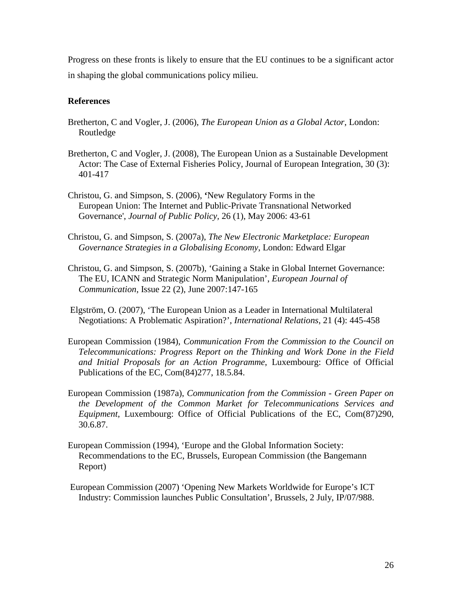Progress on these fronts is likely to ensure that the EU continues to be a significant actor in shaping the global communications policy milieu.

# **References**

- Bretherton, C and Vogler, J. (2006), *The European Union as a Global Actor*, London: Routledge
- Bretherton, C and Vogler, J. (2008), The European Union as a Sustainable Development Actor: The Case of External Fisheries Policy, Journal of European Integration, 30 (3): 401-417
- Christou, G. and Simpson, S. (2006), **'**New Regulatory Forms in the European Union: The Internet and Public-Private Transnational Networked Governance', *Journal of Public Policy,* 26 (1), May 2006: 43-61
- Christou, G. and Simpson, S. (2007a), *The New Electronic Marketplace: European Governance Strategies in a Globalising Economy*, London: Edward Elgar
- Christou, G. and Simpson, S. (2007b), 'Gaining a Stake in Global Internet Governance: The EU, ICANN and Strategic Norm Manipulation', *European Journal of Communication*, Issue 22 (2), June 2007:147-165
- Elgström, O. (2007), 'The European Union as a Leader in International Multilateral Negotiations: A Problematic Aspiration?', *International Relations*, 21 (4): 445-458
- European Commission (1984), *Communication From the Commission to the Council on Telecommunications: Progress Report on the Thinking and Work Done in the Field and Initial Proposals for an Action Programme*, Luxembourg: Office of Official Publications of the EC, Com(84)277, 18.5.84.
- European Commission (1987a), *Communication from the Commission - Green Paper on the Development of the Common Market for Telecommunications Services and Equipment*, Luxembourg: Office of Official Publications of the EC, Com(87)290, 30.6.87.
- European Commission (1994), 'Europe and the Global Information Society: Recommendations to the EC, Brussels, European Commission (the Bangemann Report)
- European Commission (2007) 'Opening New Markets Worldwide for Europe's ICT Industry: Commission launches Public Consultation', Brussels, 2 July, IP/07/988.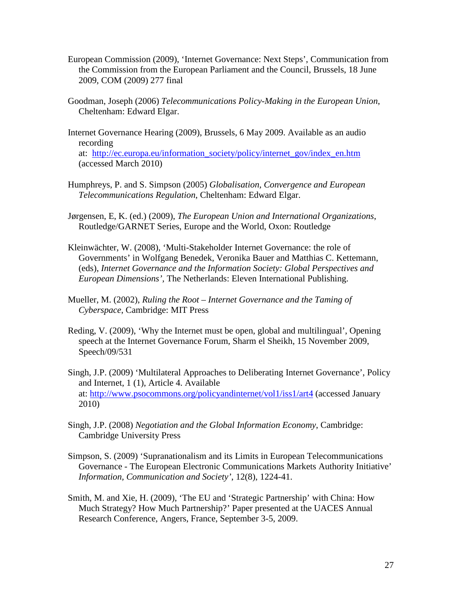- European Commission (2009), 'Internet Governance: Next Steps', Communication from the Commission from the European Parliament and the Council, Brussels, 18 June 2009, COM (2009) 277 final
- Goodman, Joseph (2006) *Telecommunications Policy-Making in the European Union*, Cheltenham: Edward Elgar.
- Internet Governance Hearing (2009), Brussels, 6 May 2009. Available as an audio recording at: [http://ec.europa.eu/information\\_society/policy/internet\\_gov/index\\_en.htm](http://ec.europa.eu/information_society/policy/internet_gov/index_en.htm) (accessed March 2010)
- Humphreys, P. and S. Simpson (2005) *Globalisation, Convergence and European Telecommunications Regulation*, Cheltenham: Edward Elgar.
- Jørgensen, E, K. (ed.) (2009), *The European Union and International Organizations*, Routledge/GARNET Series, Europe and the World, Oxon: Routledge
- Kleinwächter, W. (2008), 'Multi-Stakeholder Internet Governance: the role of Governments' in Wolfgang Benedek, Veronika Bauer and Matthias C. Kettemann, (eds), *Internet Governance and the Information Society: Global Perspectives and European Dimensions',* The Netherlands: Eleven International Publishing.
- Mueller, M. (2002), *Ruling the Root – Internet Governance and the Taming of Cyberspace*, Cambridge: MIT Press
- Reding, V. (2009), 'Why the Internet must be open, global and multilingual', Opening speech at the Internet Governance Forum, Sharm el Sheikh, 15 November 2009, Speech/09/531
- Singh, J.P. (2009) 'Multilateral Approaches to Deliberating Internet Governance', Policy and Internet, 1 (1), Article 4. Available at:<http://www.psocommons.org/policyandinternet/vol1/iss1/art4> (accessed January 2010)
- Singh, J.P. (2008) *Negotiation and the Global Information Economy*, Cambridge: Cambridge University Press
- Simpson, S. (2009) 'Supranationalism and its Limits in European Telecommunications Governance - The European Electronic Communications Markets Authority Initiative' *Information, Communication and Society'*, 12(8), 1224-41.
- Smith, M. and Xie, H. (2009), 'The EU and 'Strategic Partnership' with China: How Much Strategy? How Much Partnership?' Paper presented at the UACES Annual Research Conference, Angers, France, September 3-5, 2009.